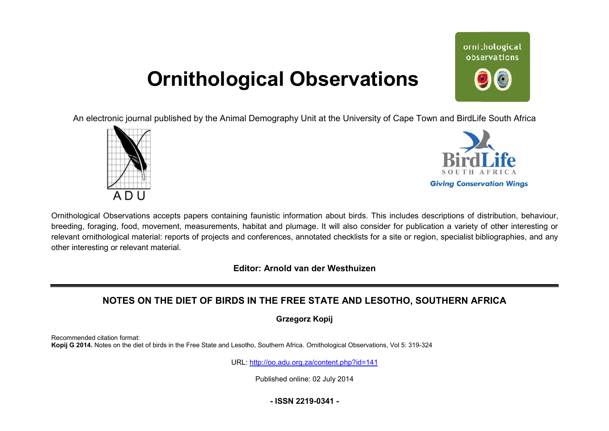# **Ornithological Observations**

ornithological observations

An electronic journal published by the Animal Demography Unit at the University of Cape Town and BirdLife South Africa





Ornithological Observations accepts papers containing faunistic information about birds. This includes descriptions of distribution, behaviour, breeding, foraging, food, movement, measurements, habitat and plumage. It will also consider for publication a variety of other interesting or relevant ornithological material: reports of projects and conferences, annotated checklists for a site or region, specialist bibliographies, and any other interesting or relevant material.

**Editor: Arnold van der Westhuizen**

## **NOTES ON THE DIET OF BIRDS IN THE FREE STATE AN AND LESOTHO, SOUTHERN AFRICA**

**Grzegorz Kopij** 

Recommended citation format: Kopij G 2014. Notes on the diet of birds in the Free State and Lesotho, Southern Africa. Ornithological Observations, Vol 5: 319-324

URL: <http://oo.adu.org.za/content.php?id=141>

Published online: 02 July 2014

**- ISSN 2219-0341 -**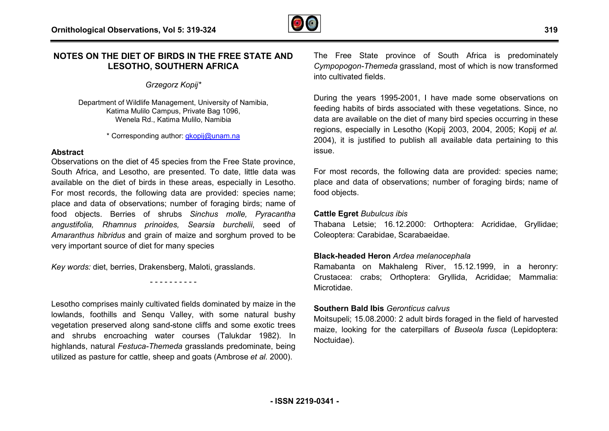

## **NOTES ON THE DIET OF BIRDS IN THE FREE ST STATE AND LESOTHO, SOUTHERN AFRICA**

## *Grzegorz Kopij\**

Department of Wildlife Management, University of Namibia, Katima Mulilo Campus, Private Bag 1096, Wenela Rd., Katima Mulilo, Namibia

\* Corresponding author: [gkopij@unam.na](mailto:gkopij@unam.na) 

#### **Abstract**

Observations on the diet of 45 species from the Free State province, South Africa, and Lesotho, are presented. To date, little data was available on the diet of birds in these areas, especially in Lesotho. For most records, the following data are provided: species name; place and data of observations; number of foraging birds; name of food objects. Berries of shrubs *Sinchus molle, Pyracantha*  place and data of observations; number of foraging birds; name of<br>food objects. Berries of shrubs *Sinchus molle, Pyracantha*<br>*angustifolia, Rhamnus prinoides, Searsia burchelii*, seed of *Amaranthus hibridus* and grain of maize and sorghum proved to be very important source of diet for many species

*Key words:* diet, berries, Drakensberg, Maloti, grasslands.

Lesotho comprises mainly cultivated fields dominated by maize in the lowlands, foothills and Senqu Valley, with some natural bushy vegetation preserved along sand-stone cliffs and some exotic trees and shrubs encroaching water courses (Talukdar 1982). In highlands, natural *Festuca-Themeda* grasslands predominate, being utilized as pasture for cattle, sheep and goats (Ambrose *et al.* 2000).

- - - - - - - - - -

The Free State province of South Africa is predominately *Cympopogon-Themeda* grassland, most of which is now transformed into cultivated fields.

During the years 1995-2001, I have made some observations on feeding habits of birds associated with these vegetations. Since, no data are available on the diet of many bird species occurring in these regions, especially in Lesotho (Kopij 2003, 2004, 2005; Kopij *et al.* 2004), it is justified to publish all available data pertaining to this issue.

For most records, the following data are provided: species name; place and data of observations; number of foraging birds; name of food objects.

## **Cattle Egret** *Bubulcus ibis*

Thabana Letsie; 16.12.2000: Orthoptera: Acrididae, Gryllidae; Coleoptera: Carabidae, Scarabaeidae.

## **Black-headed Heron** *Ardea melanocephala*

Ramabanta on Makhaleng River, 15.12.1999, in a heronry: Crustacea: crabs; Orthoptera: Gryllida, Acrididae; Mammalia: Microtidae.

## **Southern Bald Ibis** *Geronticus calvus*

Moitsupeli; 15.08.2000: 2 adult birds foraged in the field of harvested maize, looking for the caterpillars of *Buseola fusca* (Lepidoptera: Noctuidae).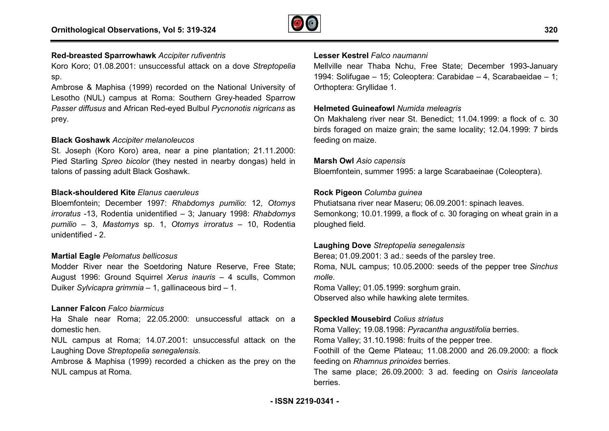

## **Red-breasted Sparrowhawk** *Accipiter rufiventris*

Koro Koro; 01.08.2001: unsuccessful attack on a dove *Streptopelia* sp.

Ambrose & Maphisa (1999) recorded on the National University of Lesotho (NUL) campus at Roma: Southern Grey-headed Sparrow *Passer diffusus* and African Red-eyed Bulbul *Pycnonotis nigricans* as prey.

#### **Black Goshawk** *Accipiter melanoleucos*

St. Joseph (Koro Koro) area, near a pine plantation; 21.11.2000: Pied Starling Spreo bicolor (they nested in nearby dongas) held in talons of passing adult Black Goshawk.

#### **Black-shouldered Kite** *Elanus caeruleus*

Bloemfontein; December 1997: *Rhabdomys pumilio*: 12, *Otomys irroratus* -13, Rodentia unidentified – 3; January 1998: *Rhabdomys pumilio* – 3, *Mastomys* sp. 1, *Otomys irroratus* – 10, Rodentia unidentified - 2.

#### **Martial Eagle** *Pelomatus bellicosus*

Modder River near the Soetdoring Nature Reserve, Free State; August 1996: Ground Squirrel *Xerus inauris* – 4 sculls, Common Duiker *Sylvicapra grimmia* – 1, gallinaceous bird – 1.

#### **Lanner Falcon** *Falco biarmicus*

Ha Shale near Roma; 22.05.2000: unsuccessful attack on a domestic hen.

NUL campus at Roma; 14.07.2001: unsuccessful attack on the Laughing Dove *Streptopelia senegalensis*.

Ambrose & Maphisa (1999) recorded a chicken as the prey on the NUL campus at Roma.

#### **Lesser Kestrel** *Falco naumanni*

Mellville near Thaba Nchu, Free State; December 1993-January 1994: Solifugae – 15; Coleoptera: Carabidae – 4, Scarabaeidae – 1; Orthoptera: Gryllidae 1.

#### **Helmeted Guineafowl** *Numida meleagris*

On Makhaleng river near St. Benedict; 11.04.1999: a flock of c. 30 birds foraged on maize grain; the same locality; 12.04.1999: 7 birds feeding on maize.

#### **Marsh Owl** *Asio capensis*

Bloemfontein, summer 1995: a large Scarabaeinae (Coleoptera).

#### **Rock Pigeon** *Columba guinea*

Phutiatsana river near Maseru; 06.09.2001: spinach leaves. Semonkong; 10.01.1999, a flock of c. 30 foraging on wheat grain in a ploughed field.

#### **Laughing Dove** *Streptopelia senegalensis*

Berea; 01.09.2001: 3 ad.: seeds of the parsley tree. Roma, NUL campus; 10.05.2000: seeds of the pepper tree *Sinchus molle*.

Roma Valley; 01.05.1999: sorghum grain. Observed also while hawking alete termites.

#### **Speckled Mousebird** *Colius striatus*

Roma Valley; 19.08.1998: *Pyracantha angustifolia* berries.

Roma Valley; 31.10.1998: fruits of the pepper tree.

Foothill of the Qeme Plateau; 11.08.2000 and 26.09.2000: a flock feeding on *Rhamnus prinoides* berries.

The same place; 26.09.2000: 3 ad. feeding on *Osiris lanceolata*berries.

**320**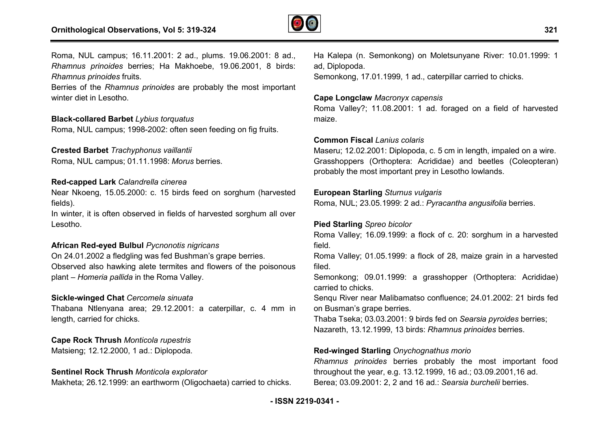

Roma, NUL campus; 16.11.2001: 2 ad., plums. 19.06.2001: 8 ad., *Rhamnus prinoides* berries; Ha Makhoebe, 19.06.2001, 8 birds: *Rhamnus prinoides* fruits.

Berries of the *Rhamnus prinoides* are probably the most important winter diet in Lesotho.

#### **Black-collared Barbet** *Lybius torquatus*

Roma, NUL campus; 1998-2002: often seen feeding on fig fruits.

## **Crested Barbet** *Trachyphonus vaillantii*

Roma, NUL campus; 01.11.1998: *Morus* berries.

#### **Red-capped Lark** *Calandrella cinerea*

Near Nkoeng, 15.05.2000: c. 15 birds feed on sorghum (harvested fields).

In winter, it is often observed in fields of harvested sorghum all over Lesotho.

#### **African Red-eyed Bulbul** *Pycnonotis nigricans*

On 24.01.2002 a fledgling was fed Bushman's grape berries. Observed also hawking alete termites and flowers of the poisonous plant – *Homeria pallida* in the Roma Valley.

#### **Sickle-winged Chat** *Cercomela sinuata*

Thabana Ntlenyana area; 29.12.2001: a caterpillar, c. 4 mm in length, carried for chicks.

**Cape Rock Thrush** *Monticola rupestris* Matsieng; 12.12.2000, 1 ad.: Diplopoda.

#### **Sentinel Rock Thrush** *Monticola explorator*

Makheta; 26.12.1999: an earthworm (Oligochaeta) carried to chicks.

ad, Diplopoda.

Semonkong, 17.01.1999, 1 ad., caterpillar carried to chicks.

## **Cape Longclaw** *Macronyx capensis*

Roma Valley?; 11.08.2001: 1 ad. foraged on a field of harvested maize.

#### **Common Fiscal** *Lanius colaris*

19.06.2001: 8 ad., Ha Kalepa (n. Semonkong) on Moletsunyane River: 10.01.1999: 1<br>
9.06.2001, 8 birds: ad, Diplopoda.<br>
Semonkong, 17.01.1999, 1 ad., caterpillar carried to chicks.<br>
the most important<br> **Cape Longclaw** Macro Maseru; 12.02.2001: Diplopoda, c. 5 cm in length, impaled on a wire. Grasshoppers (Orthoptera: Acrididae) and beetles (Coleopteran) probably the most important prey in Lesotho lowlands. 1.08.2001: 1 ad. foraged<br>Lanius colaris<br>01: Diplopoda, c. 5 cm in le<br>0rthoptera: Acrididae) and<br>t important prey in Lesotho

#### **European Starling** *Sturnus vulgaris*

Roma, NUL; 23.05.1999: 2 ad.: *Pyracantha angusifolia* berries.

#### **Pied Starling** *Spreo bicolor*

Roma Valley; 16.09.1999: a flock of c. 20: sorghum in a harvested field.

Roma Valley; 01.05.1999: a flock of 28, maize grain in a harvested ,filed.

Semonkong; 09.01.1999: a grasshopper (Orthoptera: Acrididae) carried to chicks.

Senqu River near Malibamatso confluence; 24.01.2002: 21 birds fed on Busman's grape berries.

Thaba Tseka; 03.03.2001: 9 birds fed on *Searsia sia pyroides* berries; Nazareth, 13.12.1999, 13 birds: *Rhamnus prinoides* berries.

#### **Red-winged Starling** *Onychognathus morio*

*Rhamnus prinoides* berries probably the most important food throughout the year, e.g. 13.12.1999, 16 ad.; 03.09.2001,16 ad. Berea; 03.09.2001: 2, 2 and 16 ad.: *Searsia burchelii* berries.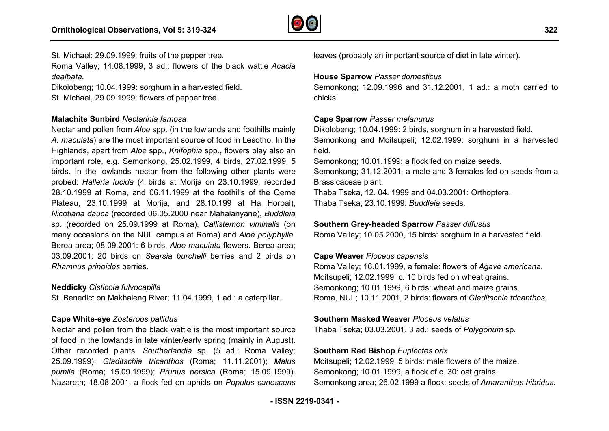

St. Michael; 29.09.1999: fruits of the pepper tree. Roma Valley; 14.08.1999, 3 ad.: flowers of the black wattle *Acacia dealbata*.

Dikolobeng; 10.04.1999: sorghum in a harvested field.

St. Michael, 29.09.1999: flowers of pepper tree.

## **Malachite Sunbird** *Nectarinia famosa*

Nectar and pollen from *Aloe* spp. (in the lowlands and foothills mainly *A. maculata*) are the most important source of food in Lesotho. In the Highlands, apart from *Aloe* spp., *Knifophia* spp., flowers play also an important role, e.g. Semonkong, 25.02.1999, 4 birds, 27.02.1999, 5 birds. In the lowlands nectar from the following other plants were probed: *Halleria lucida* (4 birds at Morija on 23.10.1999; recorded  $28.10.1999$  at Roma, and 06.11.1999 at the foothills of the Qeme Plateau, 23.10.1999 at Morija, and 28.10.199 at Ha Horoai), *Nicotiana dauca* (recorded 06.05.2000 near Mahalanyane), *Buddleia* sp. (recorded on 25.09.1999 at Roma), *Callistemon viminalis* (on many occasions on the NUL campus at Roma) and *Aloe polyphylla* . Berea area; 08.09.2001: 6 birds, *Aloe maculata* flowers. Berea area; 03.09.2001: 20 birds on *Searsia burchelli* berries and 2 birds on *Rhamnus prinoides* berries.

#### **Neddicky** *Cisticola fulvocapilla*

St. Benedict on Makhaleng River; 11.04.1999, 1 ad.: a caterpillar.

## **Cape White-eye** *Zosterops pallidus*

Nectar and pollen from the black wattle is the most important source of food in the lowlands in late winter/early spring (mainly in August). Other recorded plants: *Southerlandia* sp. (5 ad.; Roma Valley; 25.09.1999); *Gladitschia tricanthos* (Roma; 11.11.2001); *Malus pumila* (Roma; 15.09.1999); *Prunus persica* (Roma; 15.09.1999). Nazareth; 18.08.2001: a flock fed on aphids on *Populus canescens*

leaves (probably an important source of diet in late winter).

## **House Sparrow** *Passer domesticus*

Semonkong; 12.09.1996 and 31.12.2001, 1 ad.: a moth carried to chicks.

## **Cape Sparrow** *Passer melanurus*

Dikolobeng; 10.04.1999: 2 birds, sorghum in a harvested field. Semonkong and Moitsupeli; 12.02.1999: sorghum in a harvested field.

Semonkong; 10.01.1999: a flock fed on maize seeds.

Semonkong; 31.12.2001: a male and 3 females fed on seeds from a Brassicaceae plant.

Thaba Tseka, 12. 04. 1999 and 04.03.2001: Orthoptera. Thaba Tseka; 23.10.1999: *Buddleia* seeds.

## **Southern Grey-headed Sparrow** *Passer diffusus*

Roma Valley; 10.05.2000, 15 birds: sorghum in a harvested field.

## **Cape Weaver** *Ploceus capensis*

Roma Valley; 16.01.1999, a female: flowers of *Agave americana* . Moitsupeli; 12.02.1999: c. 10 birds fed on wheat grains. Semonkong; 10.01.1999, 6 birds: wheat and maize grains. Moitsupeli; 12.02.1999: c. 10 birds fed on wheat grains.<br>Semonkong; 10.01.1999, 6 birds: wheat and maize grains.<br>Roma, NUL; 10.11.2001, 2 birds: flowers of *Gleditschia tricanthos*.

## **Southern Masked Weaver** *Ploceus velatus*

Thaba Tseka; 03.03.2001, 3 ad.: seeds of *Polygonum*  sp.

## **Southern Red Bishop** *Euplectes orix*

Moitsupeli; 12.02.1999, 5 birds: male flowers of the maize. Semonkong; 10.01.1999, a flock of c. 30: oat grains. Semonkong area; 26.02.1999 a flock: seeds of Amaranthus hibridus.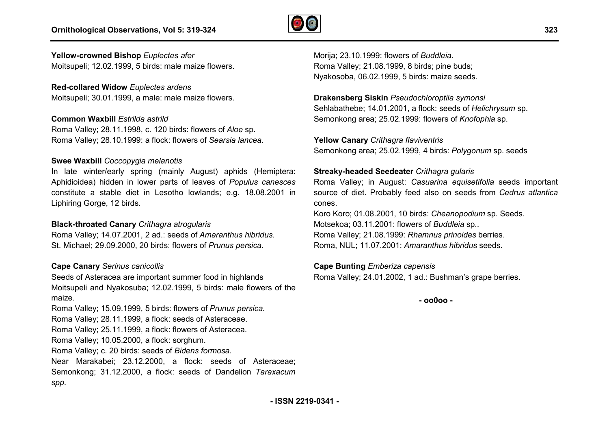

## **Yellow-crowned Bishop** *Euplectes afer*

Moitsupeli; 12.02.1999, 5 birds: male maize flowers.

## **Red-collared Widow** *Euplectes ardens*

Moitsupeli; 30.01.1999, a male: male maize flowers.

#### **Common Waxbill** *Estrilda astrild*

Roma Valley; 28.11.1998, c. 120 birds: flowers of *Aloe* sp. Roma Valley; 28.10.1999: a flock: flowers of *Searsia lancea* .

#### **Swee Waxbill** *Coccopygia melanotis*

In late winter/early spring (mainly August) aphids (Hemiptera: Aphidioidea) hidden in lower parts of leaves of *Populus canesces* constitute a stable diet in Lesotho lowlands; e.g. 18.08.2001 in Liphiring Gorge, 12 birds.

#### **Black-throated Canary** *Crithagra atrogularis*

Roma Valley; 14.07.2001, 2 ad.: seeds of *Amaranthus hibridus* . St. Michael; 29.09.2000, 20 birds: flowers of *Prunus persica.*

#### **Cape Canary** *Serinus canicollis*

Seeds of Asteracea are important summer food in highlands Moitsupeli and Nyakosuba; 12.02.1999, 5 birds: male flowers of the maize.

Roma Valley; 15.09.1999, 5 birds: flowers of *Prunus persica* . Roma Valley; 28.11.1999, a flock: seeds of Asteraceae. Roma Valley; 25.11.1999, a flock: flowers of Asteracea. Roma Valley; 10.05.2000, a flock: sorghum. Roma Valley; c. 20 birds: seeds of *Bidens formosa*. Near Marakabei; 23.12.2000, a flock: seeds of Asteraceae; Semonkong; 31.12.2000, a flock: seeds of Dandelion *Taraxacum spp.*

Morija; 23.10.1999: flowers of *Buddleia.* Roma Valley; 21.08.1999, 8 birds; pine buds; Nyakosoba, 06.02.1999, 5 birds: maize seeds.

**Drakensberg Siskin** *Pseudochloroptila symonsi* Sehlabathebe; 14.01.2001, a flock: seeds of *Helichrysum* sp. Semonkong area; 25.02.1999: flowers of *Knofophia* sp.

**Yellow Canary** *Crithagra flaviventris* Semonkong area; 25.02.1999, 4 birds: *Polygonum* sp. seeds

#### **Streaky-headed Seedeater** *Crithagra gularis*

Roma Valley; in August: Casuarina equisetifolia seeds important source of diet. Probably feed also on seeds from *Cedrus atlantica* cones.

Koro Koro; 01.08.2001, 10 birds: *Cheanopodium*  sp. Seeds. Motsekoa; 03.11.2001: flowers of *Buddleia* sp.. Roma Valley; 21.08.1999: *Rhamnus prinoides* berries. Roma, NUL; 11.07.2001: *Amaranthus hibridus* seeds.

#### **Cape Bunting** *Emberiza capensis*

Roma Valley; 24.01.2002, 1 ad.: Bushman's grape berries.

**- oo0oo -**